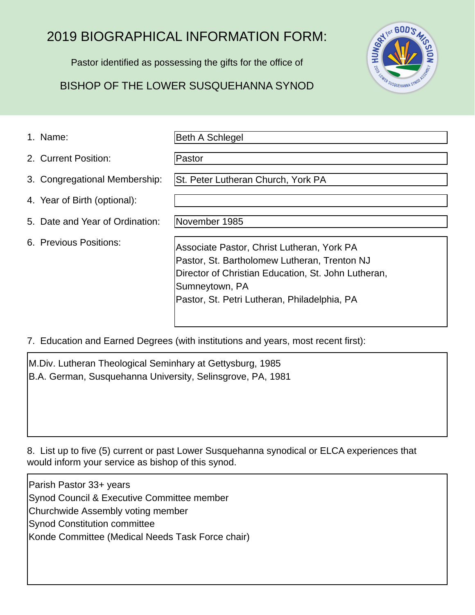# 2019 BIOGRAPHICAL INFORMATION FORM:

Pastor identified as possessing the gifts for the office of

## BISHOP OF THE LOWER SUSQUEHANNA SYNOD



1. Name:

Beth A Schlegel

2. Current Position:

Pastor

3. Congregational Membership: St. Peter Lutheran Church, York PA

- 4. Year of Birth (optional):
- 5. Date and Year of Ordination:
- 6. Previous Positions:

November 1985

Associate Pastor, Christ Lutheran, York PA Pastor, St. Bartholomew Lutheran, Trenton NJ Director of Christian Education, St. John Lutheran, Sumneytown, PA Pastor, St. Petri Lutheran, Philadelphia, PA

7. Education and Earned Degrees (with institutions and years, most recent first):

M.Div. Lutheran Theological Seminhary at Gettysburg, 1985 B.A. German, Susquehanna University, Selinsgrove, PA, 1981

8. List up to five (5) current or past Lower Susquehanna synodical or ELCA experiences that would inform your service as bishop of this synod.

Parish Pastor 33+ years Synod Council & Executive Committee member Churchwide Assembly voting member Synod Constitution committee Konde Committee (Medical Needs Task Force chair)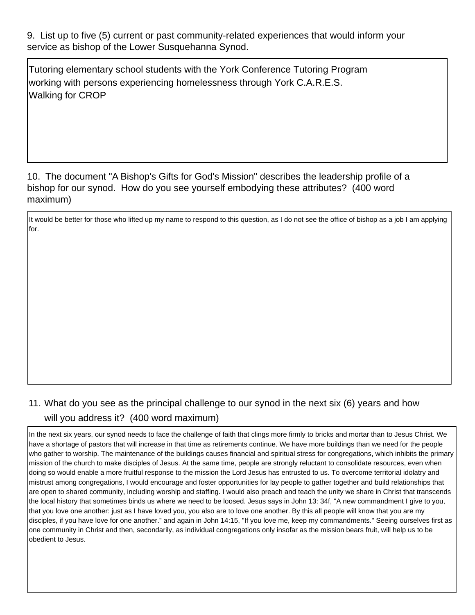9. List up to five (5) current or past community-related experiences that would inform your service as bishop of the Lower Susquehanna Synod.

Tutoring elementary school students with the York Conference Tutoring Program working with persons experiencing homelessness through York C.A.R.E.S. Walking for CROP

### 10. The document "A Bishop's Gifts for God's Mission" describes the leadership profile of a bishop for our synod. How do you see yourself embodying these attributes? (400 word maximum)

It would be better for those who lifted up my name to respond to this question, as I do not see the office of bishop as a job I am applying

# 11. What do you see as the principal challenge to our synod in the next six (6) years and how will you address it? (400 word maximum) for.<br>In the next six years, our synod needs to face the challenge to our synod in the next six (6) years and how<br>In the next six years, our synod needs to face the challenge of faith that clings more firmly to bricks and m

have a shortage of pastors that will increase in that time as retirements continue. We have more buildings than we need for the people who gather to worship. The maintenance of the buildings causes financial and spiritual stress for congregations, which inhibits the primary mission of the church to make disciples of Jesus. At the same time, people are strongly reluctant to consolidate resources, even when doing so would enable a more fruitful response to the mission the Lord Jesus has entrusted to us. To overcome territorial idolatry and mistrust among congregations, I would encourage and foster opportunities for lay people to gather together and build relationships that are open to shared community, including worship and staffing. I would also preach and teach the unity we share in Christ that transcends the local history that sometimes binds us where we need to be loosed. Jesus says in John 13: 34f, "A new commandment I give to you, that you love one another: just as I have loved you, you also are to love one another. By this all people will know that you are my disciples, if you have love for one another." and again in John 14:15, "If you love me, keep my commandments." Seeing ourselves first as one community in Christ and then, secondarily, as individual congregations only insofar as the mission bears fruit, will help us to be obedient to Jesus.